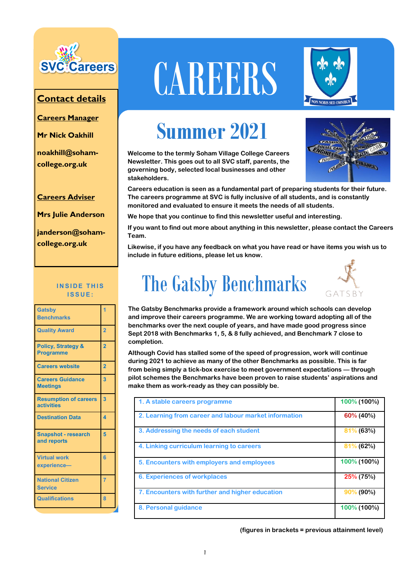

#### **Contact details**

**Careers Manager** 

**Mr Nick Oakhill**

**noakhill@sohamcollege.org.uk**

**Careers Adviser**

**Mrs Julie Anderson**

**janderson@sohamcollege.org.uk**

#### **INSIDE THIS I S S U E :**

| <b>Gatsby</b><br><b>Benchmarks</b>                |                         |
|---------------------------------------------------|-------------------------|
| <b>Quality Award</b>                              | $\overline{2}$          |
| <b>Policy, Strategy &amp;</b><br><b>Programme</b> | $\overline{2}$          |
| <b>Careers website</b>                            | $\overline{2}$          |
| <b>Careers Guidance</b><br><b>Meetings</b>        | 3                       |
| <b>Resumption of careers</b><br><b>activities</b> | $\overline{\mathbf{3}}$ |
| <b>Destination Data</b>                           | $\overline{\mathbf{A}}$ |
| <b>Snapshot - research</b><br>and reports         | 5                       |
| <b>Virtual work</b><br>experience-                | ิคิ                     |
| <b>National Citizen</b><br><b>Service</b>         | 7                       |
| <b>Qualifications</b>                             | 8                       |

# **CAREERS**



## **Summer 2021**

**Welcome to the termly Soham Village College Careers Newsletter. This goes out to all SVC staff, parents, the governing body, selected local businesses and other stakeholders.**



**Careers education is seen as a fundamental part of preparing students for their future. The careers programme at SVC is fully inclusive of all students, and is constantly monitored and evaluated to ensure it meets the needs of all students.** 

**We hope that you continue to find this newsletter useful and interesting.** 

**If you want to find out more about anything in this newsletter, please contact the Careers Team.**

**Likewise, if you have any feedback on what you have read or have items you wish us to include in future editions, please let us know.**



**The Gatsby Benchmarks provide a framework around which schools can develop and improve their careers programme. We are working toward adopting all of the benchmarks over the next couple of years, and have made good progress since Sept 2018 with Benchmarks 1, 5, & 8 fully achieved, and Benchmark 7 close to completion.**

**Although Covid has stalled some of the speed of progression, work will continue during 2021 to achieve as many of the other Benchmarks as possible. This is far from being simply a tick-box exercise to meet government expectations — through pilot schemes the Benchmarks have been proven to raise students' aspirations and make them as work-ready as they can possibly be.**

| 1. A stable careers programme                         | 100% (100%)  |
|-------------------------------------------------------|--------------|
| 2. Learning from career and labour market information | 60% (40%)    |
| 3. Addressing the needs of each student               | $81\%$ (63%) |
| 4. Linking curriculum learning to careers             | $81\%$ (62%) |
| 5. Encounters with employers and employees            | 100% (100%)  |
| <b>6. Experiences of workplaces</b>                   | $25\%$ (75%) |
| 7. Encounters with further and higher education       | $90\%$ (90%) |
| 8. Personal guidance                                  | 100% (100%)  |

**(figures in brackets = previous attainment level)**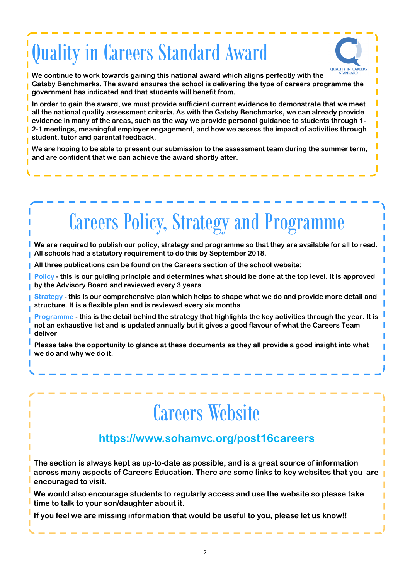# Quality in Careers Standard Award



**We continue to work towards gaining this national award which aligns perfectly with the Gatsby Benchmarks. The award ensures the school is delivering the type of careers programme the government has indicated and that students will benefit from.** 

**In order to gain the award, we must provide sufficient current evidence to demonstrate that we meet all the national quality assessment criteria. As with the Gatsby Benchmarks, we can already provide evidence in many of the areas, such as the way we provide personal guidance to students through 1- 2-1 meetings, meaningful employer engagement, and how we assess the impact of activities through student, tutor and parental feedback.**

**We are hoping to be able to present our submission to the assessment team during the summer term, and are confident that we can achieve the award shortly after.**

# Careers Policy, Strategy and Programme

**We are required to publish our policy, strategy and programme so that they are available for all to read. All schools had a statutory requirement to do this by September 2018.**

**All three publications can be found on the Careers section of the school website:**

**Policy - this is our guiding principle and determines what should be done at the top level. It is approved by the Advisory Board and reviewed every 3 years**

**Strategy - this is our comprehensive plan which helps to shape what we do and provide more detail and structure. It is a flexible plan and is reviewed every six months**

**Programme - this is the detail behind the strategy that highlights the key activities through the year. It is not an exhaustive list and is updated annually but it gives a good flavour of what the Careers Team deliver**

**Please take the opportunity to glance at these documents as they all provide a good insight into what we do and why we do it.**

# Careers Website

#### **https://www.sohamvc.org/post16careers**

**The section is always kept as up-to-date as possible, and is a great source of information across many aspects of Careers Education. There are some links to key websites that you are encouraged to visit.**

**We would also encourage students to regularly access and use the website so please take time to talk to your son/daughter about it.**

**If you feel we are missing information that would be useful to you, please let us know!!**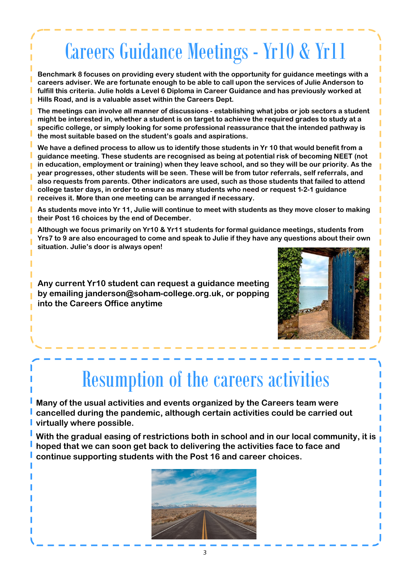# Careers Guidance Meetings - Yr10 & Yr11

**Benchmark 8 focuses on providing every student with the opportunity for guidance meetings with a careers adviser. We are fortunate enough to be able to call upon the services of Julie Anderson to fulfill this criteria. Julie holds a Level 6 Diploma in Career Guidance and has previously worked at Hills Road, and is a valuable asset within the Careers Dept.**

**The meetings can involve all manner of discussions - establishing what jobs or job sectors a student might be interested in, whether a student is on target to achieve the required grades to study at a specific college, or simply looking for some professional reassurance that the intended pathway is the most suitable based on the student's goals and aspirations.**

**We have a defined process to allow us to identify those students in Yr 10 that would benefit from a guidance meeting. These students are recognised as being at potential risk of becoming NEET (not in education, employment or training) when they leave school, and so they will be our priority. As the year progresses, other students will be seen. These will be from tutor referrals, self referrals, and also requests from parents. Other indicators are used, such as those students that failed to attend college taster days, in order to ensure as many students who need or request 1-2-1 guidance receives it. More than one meeting can be arranged if necessary.**

**As students move into Yr 11, Julie will continue to meet with students as they move closer to making their Post 16 choices by the end of December.**

**Although we focus primarily on Yr10 & Yr11 students for formal guidance meetings, students from Yrs7 to 9 are also encouraged to come and speak to Julie if they have any questions about their own situation. Julie's door is always open!** 

**Any current Yr10 student can request a guidance meeting by emailing janderson@soham-college.org.uk, or popping into the Careers Office anytime**



# Resumption of the careers activities

**Many of the usual activities and events organized by the Careers team were cancelled during the pandemic, although certain activities could be carried out virtually where possible.**

**With the gradual easing of restrictions both in school and in our local community, it is hoped that we can soon get back to delivering the activities face to face and continue supporting students with the Post 16 and career choices.**

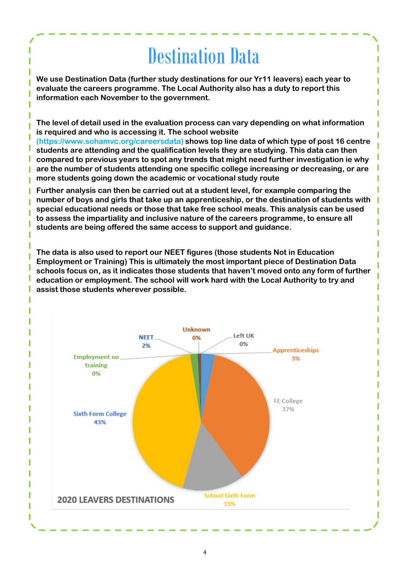### Destination Data

**We use Destination Data (further study destinations for our Yr11 leavers) each year to evaluate the careers programme. The Local Authority also has a duty to report this information each November to the government.**

 **The level of detail used in the evaluation process can vary depending on what information is required and who is accessing it. The school website** 

**(https://www.sohamvc.org/careersdata) shows top line data of which type of post 16 centre students are attending and the qualification levels they are studying. This data can then compared to previous years to spot any trends that might need further investigation ie why are the number of students attending one specific college increasing or decreasing, or are more students going down the academic or vocational study route**

**Further analysis can then be carried out at a student level, for example comparing the number of boys and girls that take up an apprenticeship, or the destination of students with special educational needs or those that take free school meals. This analysis can be used to assess the impartiality and inclusive nature of the careers programme, to ensure all students are being offered the same access to support and guidance.** 

**The data is also used to report our NEET figures (those students Not in Education Employment or Training) This is ultimately the most important piece of Destination Data schools focus on, as it indicates those students that haven't moved onto any form of further education or employment. The school will work hard with the Local Authority to try and assist those students wherever possible.** 

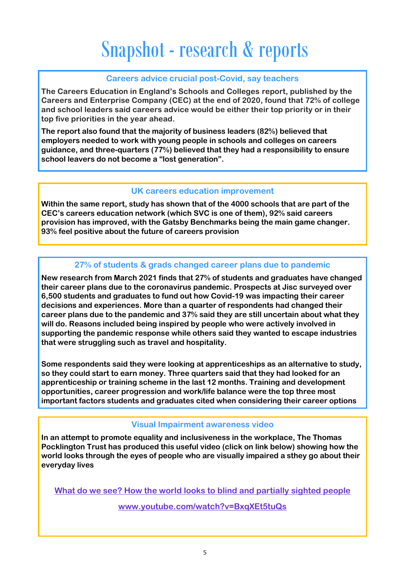# Snapshot - research & reports

#### **Careers advice crucial post-Covid, say teachers**

**The Careers Education in England's Schools and Colleges report, published by the Careers and Enterprise Company (CEC) at the end of 2020, found that 72% of college and school leaders said careers advice would be either their top priority or in their top five priorities in the year ahead.**

**The report also found that the majority of business leaders (82%) believed that employers needed to work with young people in schools and colleges on careers guidance, and three-quarters (77%) believed that they had a responsibility to ensure school leavers do not become a "lost generation".**

#### **UK careers education improvement**

**Within the same report, study has shown that of the 4000 schools that are part of the CEC's careers education network (which SVC is one of them), 92% said careers provision has improved, with the Gatsby Benchmarks being the main game changer. 93% feel positive about the future of careers provision**

#### **27% of students & grads changed career plans due to pandemic**

**New research from March 2021 finds that 27% of students and graduates have changed their career plans due to the coronavirus pandemic. Prospects at Jisc surveyed over 6,500 students and graduates to fund out how Covid-19 was impacting their career decisions and experiences. More than a quarter of respondents had changed their career plans due to the pandemic and 37% said they are still uncertain about what they will do. Reasons included being inspired by people who were actively involved in supporting the pandemic response while others said they wanted to escape industries that were struggling such as travel and hospitality.**

**Some respondents said they were looking at apprenticeships as an alternative to study, so they could start to earn money. Three quarters said that they had looked for an apprenticeship or training scheme in the last 12 months. Training and development opportunities, career progression and work/life balance were the top three most important factors students and graduates cited when considering their career options**

#### **Visual Impairment awareness video**

**In an attempt to promote equality and inclusiveness in the workplace, The Thomas Pocklington Trust has produced this useful video (click on link below) showing how the world looks through the eyes of people who are visually impaired a sthey go about their everyday lives**

**[What do we see? How the world looks to blind and partially](https://thecdi.us15.list-manage.com/track/click?u=6499c60216f26cc99e4fbc561&id=552cb0f938&e=d2be0c6d26) sighted people**

**[www.youtube.com/watch?v=BxqXEt5tuQs](https://www.youtube.com/watch?v=BxqXEt5tuQs)**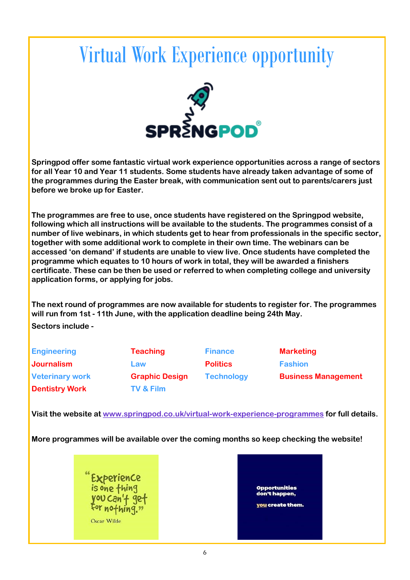## Virtual Work Experience opportunity



**Springpod offer some fantastic virtual work experience opportunities across a range of sectors for all Year 10 and Year 11 students. Some students have already taken advantage of some of the programmes during the Easter break, with communication sent out to parents/carers just before we broke up for Easter.**

**The programmes are free to use, once students have registered on the Springpod website, following which all instructions will be available to the students. The programmes consist of a number of live webinars, in which students get to hear from professionals in the specific sector, together with some additional work to complete in their own time. The webinars can be accessed 'on demand' if students are unable to view live. Once students have completed the programme which equates to 10 hours of work in total, they will be awarded a finishers certificate. These can be then be used or referred to when completing college and university application forms, or applying for jobs.**

**The next round of programmes are now available for students to register for. The programmes will run from 1st - 11th June, with the application deadline being 24th May.** 

**Sectors include -**

| <b>Engineering</b>     | <b>Teaching</b>       | <b>Finance</b>    | <b>Marketing</b>           |
|------------------------|-----------------------|-------------------|----------------------------|
| <b>Journalism</b>      | Law                   | <b>Politics</b>   | <b>Fashion</b>             |
| <b>Veterinary work</b> | <b>Graphic Design</b> | <b>Technology</b> | <b>Business Management</b> |
| <b>Dentistry Work</b>  | <b>TV &amp; Film</b>  |                   |                            |

**Visit the website at [www.springpod.co.uk/virtual-work-experience-programmes](http://www.springpod.co.uk/virtual-work-experience-programmes) for full details.**

**More programmes will be available over the coming months so keep checking the website!**



ortunities t happen. you create them.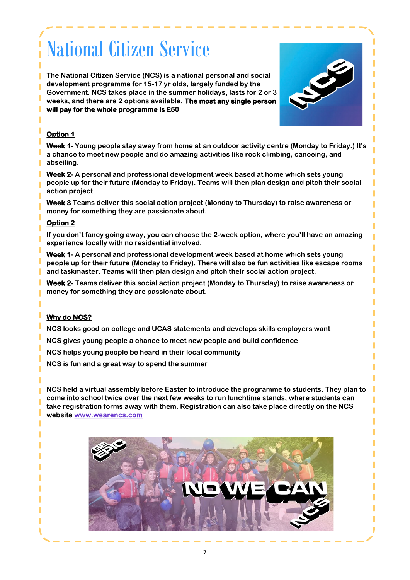# National Citizen Service

**The National Citizen Service (NCS) is a national personal and social development programme for 15-17 yr olds, largely funded by the Government. NCS takes place in the summer holidays, lasts for 2 or 3 weeks, and there are 2 options available. The most any single person will pay for the whole programme is £50** 



#### **Option 1**

**Week 1- Young people stay away from home at an outdoor activity centre (Monday to Friday.) It's a chance to meet new people and do amazing activities like rock climbing, canoeing, and abseiling.** 

**Week 2- A personal and professional development week based at home which sets young people up for their future (Monday to Friday). Teams will then plan design and pitch their social action project.** 

**Week 3 Teams deliver this social action project (Monday to Thursday) to raise awareness or money for something they are passionate about.** 

#### **Option 2**

**If you don't fancy going away, you can choose the 2-week option, where you'll have an amazing experience locally with no residential involved.**

**Week 1- A personal and professional development week based at home which sets young people up for their future (Monday to Friday). There will also be fun activities like escape rooms and taskmaster. Teams will then plan design and pitch their social action project.** 

**Week 2- Teams deliver this social action project (Monday to Thursday) to raise awareness or money for something they are passionate about.** 

#### **Why do NCS?**

**NCS looks good on college and UCAS statements and develops skills employers want** 

**NCS gives young people a chance to meet new people and build confidence**

**NCS helps young people be heard in their local community**

**NCS is fun and a great way to spend the summer**

**NCS held a virtual assembly before Easter to introduce the programme to students. They plan to come into school twice over the next few weeks to run lunchtime stands, where students can take registration forms away with them. Registration can also take place directly on the NCS website [www.wearencs.com](https://wearencs.com/)**